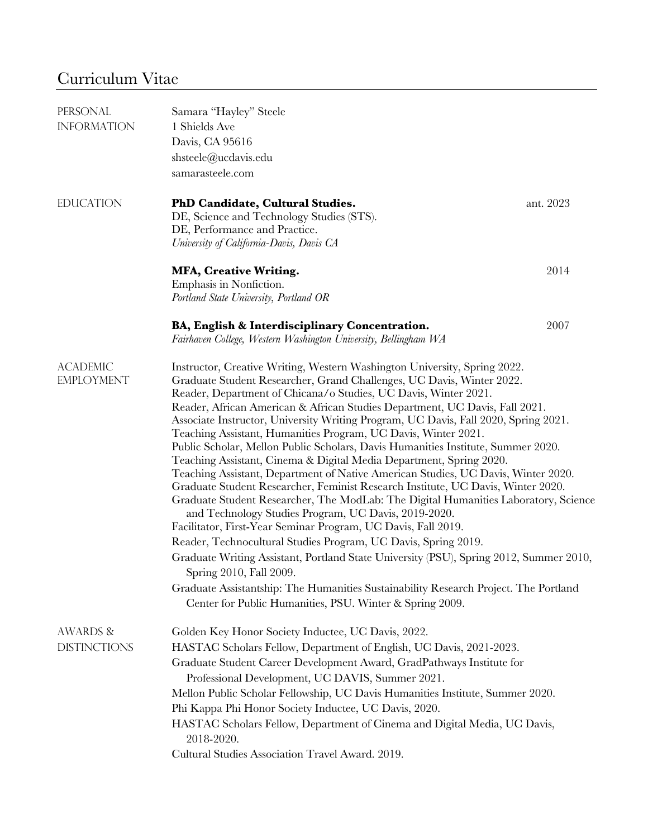# Curriculum Vitae

| PERSONAL                                                                                     | Samara "Hayley" Steele                                                                                                                                             |           |  |  |
|----------------------------------------------------------------------------------------------|--------------------------------------------------------------------------------------------------------------------------------------------------------------------|-----------|--|--|
| <b>INFORMATION</b>                                                                           | 1 Shields Ave                                                                                                                                                      |           |  |  |
|                                                                                              | Davis, CA 95616                                                                                                                                                    |           |  |  |
|                                                                                              | shsteele@ucdavis.edu                                                                                                                                               |           |  |  |
|                                                                                              | samarasteele.com                                                                                                                                                   |           |  |  |
| <b>EDUCATION</b>                                                                             | PhD Candidate, Cultural Studies.                                                                                                                                   | ant. 2023 |  |  |
|                                                                                              | DE, Science and Technology Studies (STS).                                                                                                                          |           |  |  |
|                                                                                              | DE, Performance and Practice.<br>University of California-Davis, Davis CA                                                                                          |           |  |  |
|                                                                                              | <b>MFA, Creative Writing.</b>                                                                                                                                      | 2014      |  |  |
|                                                                                              | Emphasis in Nonfiction.                                                                                                                                            |           |  |  |
|                                                                                              | Portland State University, Portland OR                                                                                                                             |           |  |  |
|                                                                                              | BA, English & Interdisciplinary Concentration.                                                                                                                     | 2007      |  |  |
|                                                                                              | Fairhaven College, Western Washington University, Bellingham WA                                                                                                    |           |  |  |
| <b>ACADEMIC</b><br>Instructor, Creative Writing, Western Washington University, Spring 2022. |                                                                                                                                                                    |           |  |  |
| <b>EMPLOYMENT</b>                                                                            | Graduate Student Researcher, Grand Challenges, UC Davis, Winter 2022.                                                                                              |           |  |  |
|                                                                                              | Reader, Department of Chicana/o Studies, UC Davis, Winter 2021.                                                                                                    |           |  |  |
|                                                                                              | Reader, African American & African Studies Department, UC Davis, Fall 2021.<br>Associate Instructor, University Writing Program, UC Davis, Fall 2020, Spring 2021. |           |  |  |
|                                                                                              | Teaching Assistant, Humanities Program, UC Davis, Winter 2021.                                                                                                     |           |  |  |
|                                                                                              | Public Scholar, Mellon Public Scholars, Davis Humanities Institute, Summer 2020.                                                                                   |           |  |  |
|                                                                                              | Teaching Assistant, Cinema & Digital Media Department, Spring 2020.                                                                                                |           |  |  |
|                                                                                              | Teaching Assistant, Department of Native American Studies, UC Davis, Winter 2020.                                                                                  |           |  |  |
|                                                                                              | Graduate Student Researcher, Feminist Research Institute, UC Davis, Winter 2020.                                                                                   |           |  |  |
|                                                                                              | Graduate Student Researcher, The ModLab: The Digital Humanities Laboratory, Science                                                                                |           |  |  |
|                                                                                              | and Technology Studies Program, UC Davis, 2019-2020.                                                                                                               |           |  |  |
|                                                                                              | Facilitator, First-Year Seminar Program, UC Davis, Fall 2019.<br>Reader, Technocultural Studies Program, UC Davis, Spring 2019.                                    |           |  |  |
|                                                                                              | Graduate Writing Assistant, Portland State University (PSU), Spring 2012, Summer 2010,                                                                             |           |  |  |
|                                                                                              | Spring 2010, Fall 2009.                                                                                                                                            |           |  |  |
|                                                                                              | Graduate Assistantship: The Humanities Sustainability Research Project. The Portland                                                                               |           |  |  |
|                                                                                              | Center for Public Humanities, PSU. Winter & Spring 2009.                                                                                                           |           |  |  |
| <b>AWARDS &amp;</b>                                                                          | Golden Key Honor Society Inductee, UC Davis, 2022.                                                                                                                 |           |  |  |
| <b>DISTINCTIONS</b>                                                                          | HASTAC Scholars Fellow, Department of English, UC Davis, 2021-2023.                                                                                                |           |  |  |
|                                                                                              | Graduate Student Career Development Award, GradPathways Institute for                                                                                              |           |  |  |
|                                                                                              | Professional Development, UC DAVIS, Summer 2021.                                                                                                                   |           |  |  |
|                                                                                              | Mellon Public Scholar Fellowship, UC Davis Humanities Institute, Summer 2020.                                                                                      |           |  |  |
|                                                                                              | Phi Kappa Phi Honor Society Inductee, UC Davis, 2020.                                                                                                              |           |  |  |
|                                                                                              | HASTAC Scholars Fellow, Department of Cinema and Digital Media, UC Davis,<br>2018-2020.                                                                            |           |  |  |
|                                                                                              | Cultural Studies Association Travel Award. 2019.                                                                                                                   |           |  |  |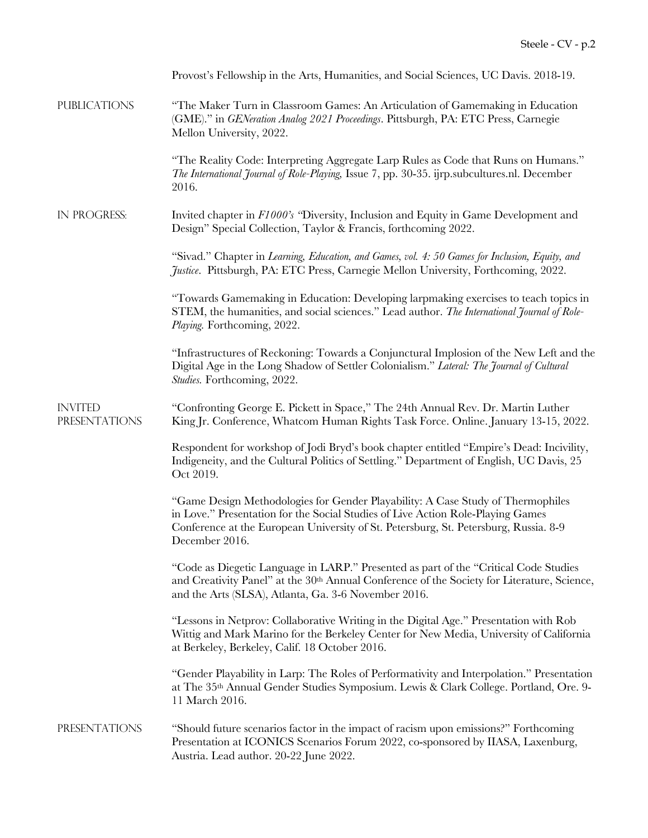|                                        | Provost's Fellowship in the Arts, Humanities, and Social Sciences, UC Davis. 2018-19.                                                                                                                                                                                        |
|----------------------------------------|------------------------------------------------------------------------------------------------------------------------------------------------------------------------------------------------------------------------------------------------------------------------------|
| <b>PUBLICATIONS</b>                    | "The Maker Turn in Classroom Games: An Articulation of Gamemaking in Education<br>(GME)." in GENeration Analog 2021 Proceedings. Pittsburgh, PA: ETC Press, Carnegie<br>Mellon University, 2022.                                                                             |
|                                        | "The Reality Code: Interpreting Aggregate Larp Rules as Code that Runs on Humans."<br>The International Journal of Role-Playing, Issue 7, pp. 30-35. ijrp.subcultures.nl. December<br>2016.                                                                                  |
| IN PROGRESS:                           | Invited chapter in F1000's "Diversity, Inclusion and Equity in Game Development and<br>Design" Special Collection, Taylor & Francis, forthcoming 2022.                                                                                                                       |
|                                        | "Sivad." Chapter in Learning, Education, and Games, vol. 4: 50 Games for Inclusion, Equity, and<br>Justice. Pittsburgh, PA: ETC Press, Carnegie Mellon University, Forthcoming, 2022.                                                                                        |
|                                        | "Towards Gamemaking in Education: Developing larpmaking exercises to teach topics in<br>STEM, the humanities, and social sciences." Lead author. The International Journal of Role-<br>Playing. Forthcoming, 2022.                                                           |
|                                        | "Infrastructures of Reckoning: Towards a Conjunctural Implosion of the New Left and the<br>Digital Age in the Long Shadow of Settler Colonialism." Lateral: The Journal of Cultural<br>Studies. Forthcoming, 2022.                                                           |
| <b>INVITED</b><br><b>PRESENTATIONS</b> | "Confronting George E. Pickett in Space," The 24th Annual Rev. Dr. Martin Luther<br>King Jr. Conference, Whatcom Human Rights Task Force. Online. January 13-15, 2022.                                                                                                       |
|                                        | Respondent for workshop of Jodi Bryd's book chapter entitled "Empire's Dead: Incivility,<br>Indigeneity, and the Cultural Politics of Settling." Department of English, UC Davis, 25<br>Oct 2019.                                                                            |
|                                        | "Game Design Methodologies for Gender Playability: A Case Study of Thermophiles<br>in Love." Presentation for the Social Studies of Live Action Role-Playing Games<br>Conference at the European University of St. Petersburg, St. Petersburg, Russia. 8-9<br>December 2016. |
|                                        | "Code as Diegetic Language in LARP." Presented as part of the "Critical Code Studies"<br>and Creativity Panel" at the 30th Annual Conference of the Society for Literature, Science,<br>and the Arts (SLSA), Atlanta, Ga. 3-6 November 2016.                                 |
|                                        | "Lessons in Netprov: Collaborative Writing in the Digital Age." Presentation with Rob<br>Wittig and Mark Marino for the Berkeley Center for New Media, University of California<br>at Berkeley, Berkeley, Calif. 18 October 2016.                                            |
|                                        | "Gender Playability in Larp: The Roles of Performativity and Interpolation." Presentation<br>at The 35 <sup>th</sup> Annual Gender Studies Symposium. Lewis & Clark College. Portland, Ore. 9-<br>11 March 2016.                                                             |
| <b>PRESENTATIONS</b>                   | "Should future scenarios factor in the impact of racism upon emissions?" Forthcoming<br>Presentation at ICONICS Scenarios Forum 2022, co-sponsored by IIASA, Laxenburg,<br>Austria. Lead author. 20-22 June 2022.                                                            |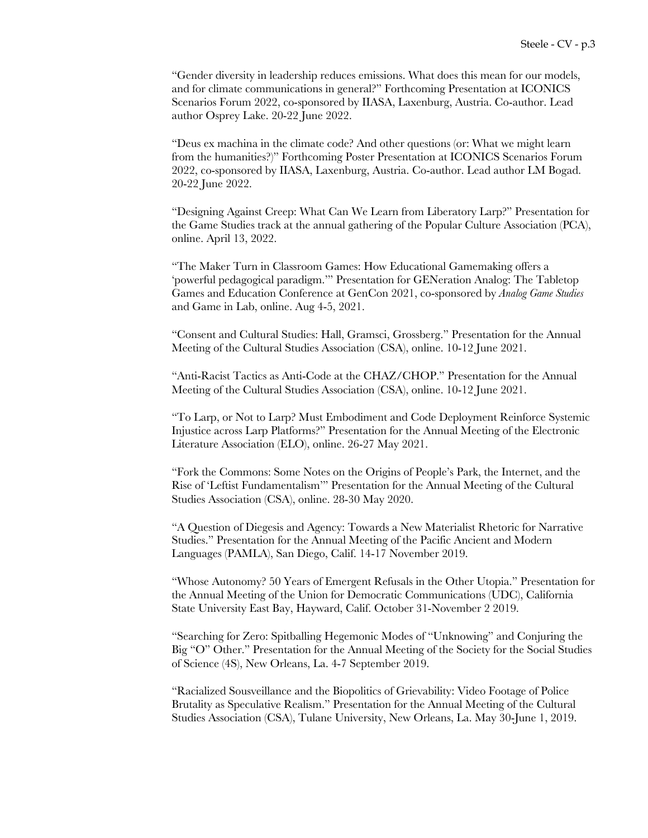"Gender diversity in leadership reduces emissions. What does this mean for our models, and for climate communications in general?" Forthcoming Presentation at ICONICS Scenarios Forum 2022, co-sponsored by IIASA, Laxenburg, Austria. Co-author. Lead author Osprey Lake. 20-22 June 2022.

"Deus ex machina in the climate code? And other questions (or: What we might learn from the humanities?)" Forthcoming Poster Presentation at ICONICS Scenarios Forum 2022, co-sponsored by IIASA, Laxenburg, Austria. Co-author. Lead author LM Bogad. 20-22 June 2022.

"Designing Against Creep: What Can We Learn from Liberatory Larp?" Presentation for the Game Studies track at the annual gathering of the Popular Culture Association (PCA), online. April 13, 2022.

"The Maker Turn in Classroom Games: How Educational Gamemaking offers a 'powerful pedagogical paradigm.'" Presentation for GENeration Analog: The Tabletop Games and Education Conference at GenCon 2021, co-sponsored by *Analog Game Studies* and Game in Lab, online. Aug 4-5, 2021.

"Consent and Cultural Studies: Hall, Gramsci, Grossberg." Presentation for the Annual Meeting of the Cultural Studies Association (CSA), online. 10-12 June 2021.

"Anti-Racist Tactics as Anti-Code at the CHAZ/CHOP." Presentation for the Annual Meeting of the Cultural Studies Association (CSA), online. 10-12 June 2021.

"To Larp, or Not to Larp? Must Embodiment and Code Deployment Reinforce Systemic Injustice across Larp Platforms?" Presentation for the Annual Meeting of the Electronic Literature Association (ELO), online. 26-27 May 2021.

"Fork the Commons: Some Notes on the Origins of People's Park, the Internet, and the Rise of 'Leftist Fundamentalism'" Presentation for the Annual Meeting of the Cultural Studies Association (CSA), online. 28-30 May 2020.

"A Question of Diegesis and Agency: Towards a New Materialist Rhetoric for Narrative Studies." Presentation for the Annual Meeting of the Pacific Ancient and Modern Languages (PAMLA), San Diego, Calif. 14-17 November 2019.

"Whose Autonomy? 50 Years of Emergent Refusals in the Other Utopia." Presentation for the Annual Meeting of the Union for Democratic Communications (UDC), California State University East Bay, Hayward, Calif. October 31-November 2 2019.

"Searching for Zero: Spitballing Hegemonic Modes of "Unknowing" and Conjuring the Big "O" Other." Presentation for the Annual Meeting of the Society for the Social Studies of Science (4S), New Orleans, La. 4-7 September 2019.

"Racialized Sousveillance and the Biopolitics of Grievability: Video Footage of Police Brutality as Speculative Realism." Presentation for the Annual Meeting of the Cultural Studies Association (CSA), Tulane University, New Orleans, La. May 30-June 1, 2019.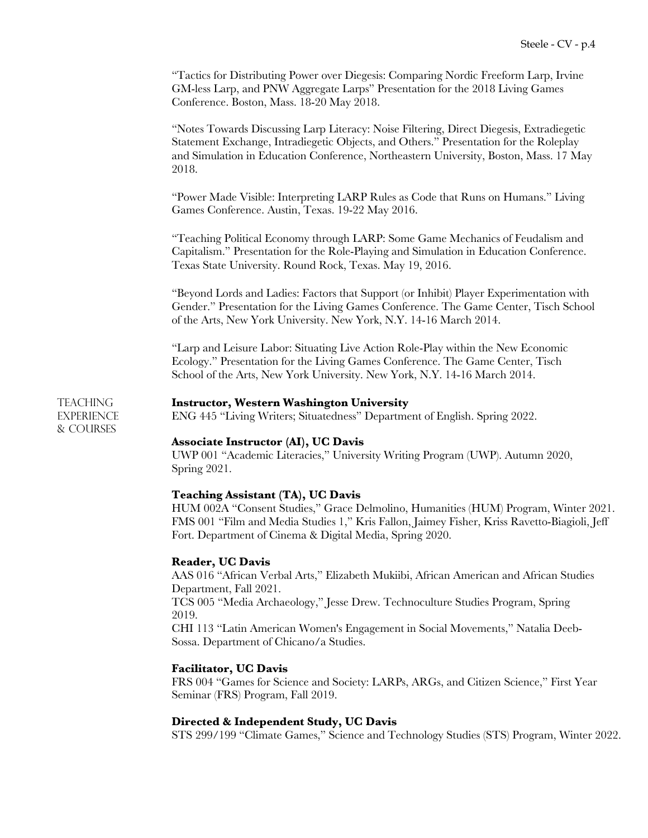"Tactics for Distributing Power over Diegesis: Comparing Nordic Freeform Larp, Irvine GM-less Larp, and PNW Aggregate Larps" Presentation for the 2018 Living Games Conference. Boston, Mass. 18-20 May 2018.

"Notes Towards Discussing Larp Literacy: Noise Filtering, Direct Diegesis, Extradiegetic Statement Exchange, Intradiegetic Objects, and Others." Presentation for the Roleplay and Simulation in Education Conference, Northeastern University, Boston, Mass. 17 May 2018.

"Power Made Visible: Interpreting LARP Rules as Code that Runs on Humans." Living Games Conference. Austin, Texas. 19-22 May 2016.

"Teaching Political Economy through LARP: Some Game Mechanics of Feudalism and Capitalism." Presentation for the Role-Playing and Simulation in Education Conference. Texas State University. Round Rock, Texas. May 19, 2016.

"Beyond Lords and Ladies: Factors that Support (or Inhibit) Player Experimentation with Gender." Presentation for the Living Games Conference. The Game Center, Tisch School of the Arts, New York University. New York, N.Y. 14-16 March 2014.

"Larp and Leisure Labor: Situating Live Action Role-Play within the New Economic Ecology." Presentation for the Living Games Conference. The Game Center, Tisch School of the Arts, New York University. New York, N.Y. 14-16 March 2014.

# Teaching **Instructor, Western Washington University**

EXPERIENCE ENG 445 "Living Writers; Situatedness" Department of English. Spring 2022.

**Associate Instructor (AI), UC Davis**

UWP 001 "Academic Literacies," University Writing Program (UWP). Autumn 2020, Spring 2021.

# **Teaching Assistant (TA), UC Davis**

HUM 002A "Consent Studies," Grace Delmolino, Humanities (HUM) Program, Winter 2021. FMS 001 "Film and Media Studies 1," Kris Fallon, Jaimey Fisher, Kriss Ravetto-Biagioli, Jeff Fort. Department of Cinema & Digital Media, Spring 2020.

#### **Reader, UC Davis**

& Courses

AAS 016 "African Verbal Arts," Elizabeth Mukiibi, African American and African Studies Department, Fall 2021. TCS 005 "Media Archaeology," Jesse Drew. Technoculture Studies Program, Spring 2019.

CHI 113 "Latin American Women's Engagement in Social Movements," Natalia Deeb-Sossa. Department of Chicano/a Studies.

# **Facilitator, UC Davis**

FRS 004 "Games for Science and Society: LARPs, ARGs, and Citizen Science," First Year Seminar (FRS) Program, Fall 2019.

# **Directed & Independent Study, UC Davis**

STS 299/199 "Climate Games," Science and Technology Studies (STS) Program, Winter 2022.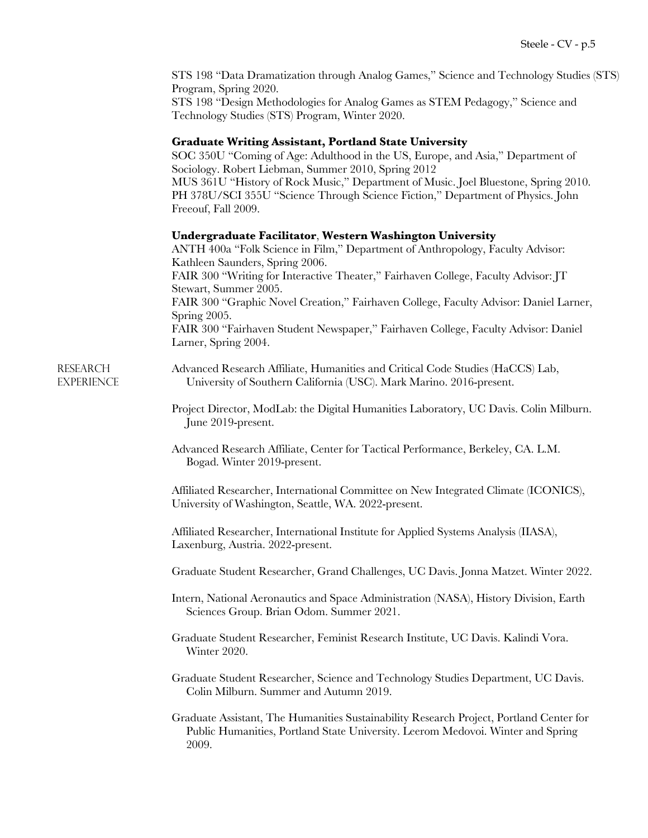STS 198 "Data Dramatization through Analog Games," Science and Technology Studies (STS) Program, Spring 2020.

STS 198 "Design Methodologies for Analog Games as STEM Pedagogy," Science and Technology Studies (STS) Program, Winter 2020.

#### **Graduate Writing Assistant, Portland State University**

SOC 350U "Coming of Age: Adulthood in the US, Europe, and Asia," Department of Sociology. Robert Liebman, Summer 2010, Spring 2012 MUS 361U "History of Rock Music," Department of Music. Joel Bluestone, Spring 2010. PH 378U/SCI 355U "Science Through Science Fiction," Department of Physics. John Freeouf, Fall 2009.

#### **Undergraduate Facilitator**, **Western Washington University**

ANTH 400a "Folk Science in Film," Department of Anthropology, Faculty Advisor: Kathleen Saunders, Spring 2006. FAIR 300 "Writing for Interactive Theater," Fairhaven College, Faculty Advisor: JT Stewart, Summer 2005. FAIR 300 "Graphic Novel Creation," Fairhaven College, Faculty Advisor: Daniel Larner, Spring 2005. FAIR 300 "Fairhaven Student Newspaper," Fairhaven College, Faculty Advisor: Daniel Larner, Spring 2004.

Research Advanced Research Affiliate, Humanities and Critical Code Studies (HaCCS) Lab, EXPERIENCE University of Southern California (USC). Mark Marino. 2016-present.

> Project Director, ModLab: the Digital Humanities Laboratory, UC Davis. Colin Milburn. June 2019-present.

Advanced Research Affiliate, Center for Tactical Performance, Berkeley, CA. L.M. Bogad. Winter 2019-present.

Affiliated Researcher, International Committee on New Integrated Climate (ICONICS), University of Washington, Seattle, WA. 2022-present.

Affiliated Researcher, International Institute for Applied Systems Analysis (IIASA), Laxenburg, Austria. 2022-present.

Graduate Student Researcher, Grand Challenges, UC Davis. Jonna Matzet. Winter 2022.

Intern, National Aeronautics and Space Administration (NASA), History Division, Earth Sciences Group. Brian Odom. Summer 2021.

Graduate Student Researcher, Feminist Research Institute, UC Davis. Kalindi Vora. Winter 2020.

Graduate Student Researcher, Science and Technology Studies Department, UC Davis. Colin Milburn. Summer and Autumn 2019.

Graduate Assistant, The Humanities Sustainability Research Project, Portland Center for Public Humanities, Portland State University. Leerom Medovoi. Winter and Spring 2009.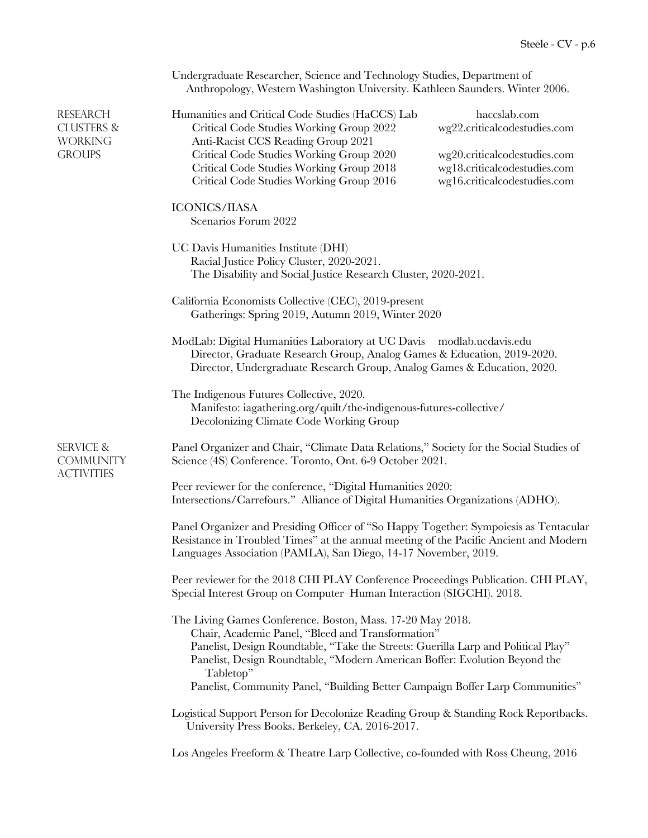|                                                                             | Undergraduate Researcher, Science and Technology Studies, Department of<br>Anthropology, Western Washington University. Kathleen Saunders. Winter 2006.                                                                                                                                                                                                                                                                |  |  |  |
|-----------------------------------------------------------------------------|------------------------------------------------------------------------------------------------------------------------------------------------------------------------------------------------------------------------------------------------------------------------------------------------------------------------------------------------------------------------------------------------------------------------|--|--|--|
| <b>RESEARCH</b><br><b>CLUSTERS &amp;</b><br><b>WORKING</b><br><b>GROUPS</b> | Humanities and Critical Code Studies (HaCCS) Lab<br>haccslab.com<br>wg22.criticalcodestudies.com<br>Critical Code Studies Working Group 2022<br>Anti-Racist CCS Reading Group 2021<br>Critical Code Studies Working Group 2020<br>wg20.criticalcodestudies.com<br>Critical Code Studies Working Group 2018<br>wg18.criticalcodestudies.com<br>Critical Code Studies Working Group 2016<br>wg16.criticalcodestudies.com |  |  |  |
|                                                                             | <b>ICONICS/IIASA</b><br>Scenarios Forum 2022                                                                                                                                                                                                                                                                                                                                                                           |  |  |  |
|                                                                             | UC Davis Humanities Institute (DHI)<br>Racial Justice Policy Cluster, 2020-2021.<br>The Disability and Social Justice Research Cluster, 2020-2021.                                                                                                                                                                                                                                                                     |  |  |  |
|                                                                             | California Economists Collective (CEC), 2019-present<br>Gatherings: Spring 2019, Autumn 2019, Winter 2020                                                                                                                                                                                                                                                                                                              |  |  |  |
|                                                                             | ModLab: Digital Humanities Laboratory at UC Davis modlab.ucdavis.edu<br>Director, Graduate Research Group, Analog Games & Education, 2019-2020.<br>Director, Undergraduate Research Group, Analog Games & Education, 2020.                                                                                                                                                                                             |  |  |  |
|                                                                             | The Indigenous Futures Collective, 2020.<br>Manifesto: iagathering.org/quilt/the-indigenous-futures-collective/<br>Decolonizing Climate Code Working Group                                                                                                                                                                                                                                                             |  |  |  |
| <b>SERVICE &amp;</b><br><b>COMMUNITY</b><br><b>ACTIVITIES</b>               | Panel Organizer and Chair, "Climate Data Relations," Society for the Social Studies of<br>Science (4S) Conference. Toronto, Ont. 6-9 October 2021.                                                                                                                                                                                                                                                                     |  |  |  |
|                                                                             | Peer reviewer for the conference, "Digital Humanities 2020:<br>Intersections/Carrefours." Alliance of Digital Humanities Organizations (ADHO).                                                                                                                                                                                                                                                                         |  |  |  |
|                                                                             | Panel Organizer and Presiding Officer of "So Happy Together: Sympoiesis as Tentacular<br>Resistance in Troubled Times" at the annual meeting of the Pacific Ancient and Modern<br>Languages Association (PAMLA), San Diego, 14-17 November, 2019.                                                                                                                                                                      |  |  |  |
|                                                                             | Peer reviewer for the 2018 CHI PLAY Conference Proceedings Publication. CHI PLAY,<br>Special Interest Group on Computer-Human Interaction (SIGCHI). 2018.                                                                                                                                                                                                                                                              |  |  |  |
|                                                                             | The Living Games Conference. Boston, Mass. 17-20 May 2018.<br>Chair, Academic Panel, "Bleed and Transformation"<br>Panelist, Design Roundtable, "Take the Streets: Guerilla Larp and Political Play"<br>Panelist, Design Roundtable, "Modern American Boffer: Evolution Beyond the<br>Tabletop"<br>Panelist, Community Panel, "Building Better Campaign Boffer Larp Communities"                                       |  |  |  |
|                                                                             | Logistical Support Person for Decolonize Reading Group & Standing Rock Reportbacks.<br>University Press Books. Berkeley, CA. 2016-2017.                                                                                                                                                                                                                                                                                |  |  |  |
|                                                                             | Los Angeles Freeform & Theatre Larp Collective, co-founded with Ross Cheung, 2016                                                                                                                                                                                                                                                                                                                                      |  |  |  |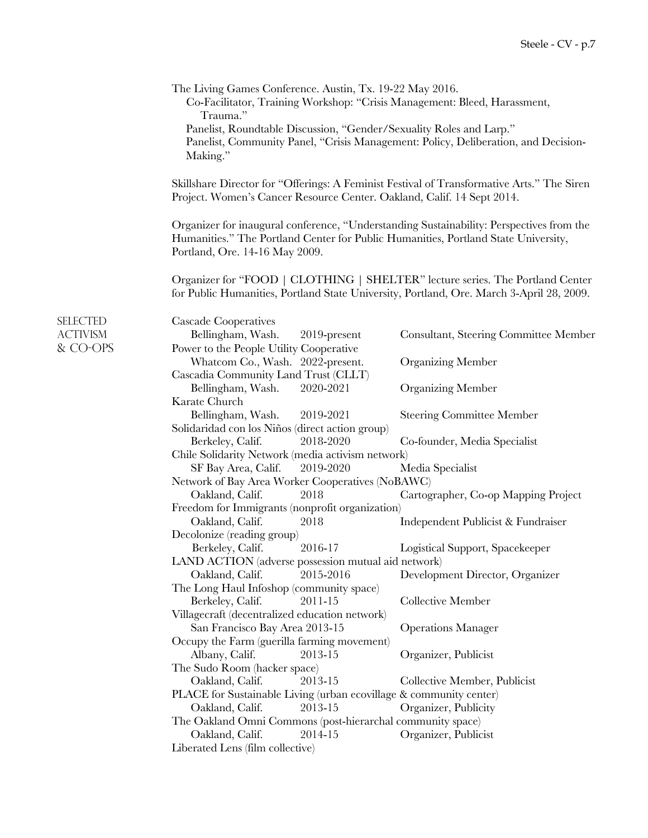|                                         | The Living Games Conference. Austin, Tx. 19-22 May 2016.<br>Co-Facilitator, Training Workshop: "Crisis Management: Bleed, Harassment,<br>Trauma."<br>Panelist, Roundtable Discussion, "Gender/Sexuality Roles and Larp."<br>Panelist, Community Panel, "Crisis Management: Policy, Deliberation, and Decision-<br>Making." |                                                                                                                                                                      |  |  |  |
|-----------------------------------------|----------------------------------------------------------------------------------------------------------------------------------------------------------------------------------------------------------------------------------------------------------------------------------------------------------------------------|----------------------------------------------------------------------------------------------------------------------------------------------------------------------|--|--|--|
|                                         |                                                                                                                                                                                                                                                                                                                            |                                                                                                                                                                      |  |  |  |
|                                         |                                                                                                                                                                                                                                                                                                                            | Skillshare Director for "Offerings: A Feminist Festival of Transformative Arts." The Siren<br>Project. Women's Cancer Resource Center. Oakland, Calif. 14 Sept 2014. |  |  |  |
|                                         | Organizer for inaugural conference, "Understanding Sustainability: Perspectives from the<br>Humanities." The Portland Center for Public Humanities, Portland State University,<br>Portland, Ore. 14-16 May 2009.                                                                                                           |                                                                                                                                                                      |  |  |  |
|                                         | Organizer for "FOOD   CLOTHING   SHELTER" lecture series. The Portland Center<br>for Public Humanities, Portland State University, Portland, Ore. March 3-April 28, 2009.                                                                                                                                                  |                                                                                                                                                                      |  |  |  |
| SELECTED<br><b>ACTIVISM</b><br>& CO-OPS | <b>Cascade Cooperatives</b><br>Bellingham, Wash.<br>2019-present<br>Power to the People Utility Cooperative                                                                                                                                                                                                                | Consultant, Steering Committee Member                                                                                                                                |  |  |  |
|                                         | Whatcom Co., Wash. 2022-present.<br>Cascadia Community Land Trust (CLLT)                                                                                                                                                                                                                                                   | <b>Organizing Member</b>                                                                                                                                             |  |  |  |
|                                         | 2020-2021<br>Bellingham, Wash.<br>Karate Church                                                                                                                                                                                                                                                                            | <b>Organizing Member</b>                                                                                                                                             |  |  |  |
|                                         | Bellingham, Wash.<br>2019-2021                                                                                                                                                                                                                                                                                             | <b>Steering Committee Member</b>                                                                                                                                     |  |  |  |
|                                         | Solidaridad con los Niños (direct action group)<br>2018-2020<br>Berkeley, Calif.                                                                                                                                                                                                                                           | Co-founder, Media Specialist                                                                                                                                         |  |  |  |
|                                         |                                                                                                                                                                                                                                                                                                                            | Chile Solidarity Network (media activism network)                                                                                                                    |  |  |  |
|                                         | SF Bay Area, Calif.<br>2019-2020                                                                                                                                                                                                                                                                                           | Media Specialist                                                                                                                                                     |  |  |  |
|                                         | Network of Bay Area Worker Cooperatives (NoBAWC)                                                                                                                                                                                                                                                                           |                                                                                                                                                                      |  |  |  |
|                                         | Oakland, Calif.<br>2018                                                                                                                                                                                                                                                                                                    | Cartographer, Co-op Mapping Project                                                                                                                                  |  |  |  |
|                                         | Freedom for Immigrants (nonprofit organization)                                                                                                                                                                                                                                                                            |                                                                                                                                                                      |  |  |  |
|                                         | Oakland, Calif.<br>2018<br>Decolonize (reading group)                                                                                                                                                                                                                                                                      | Independent Publicist & Fundraiser                                                                                                                                   |  |  |  |
|                                         | Berkeley, Calif.<br>2016-17                                                                                                                                                                                                                                                                                                | Logistical Support, Spacekeeper                                                                                                                                      |  |  |  |
|                                         | LAND ACTION (adverse possession mutual aid network)                                                                                                                                                                                                                                                                        |                                                                                                                                                                      |  |  |  |
|                                         | 2015-2016<br>Oakland, Calif.                                                                                                                                                                                                                                                                                               | Development Director, Organizer                                                                                                                                      |  |  |  |
|                                         | The Long Haul Infoshop (community space)<br>Berkeley, Calif.<br>2011-15                                                                                                                                                                                                                                                    | Collective Member                                                                                                                                                    |  |  |  |
|                                         | Villagecraft (decentralized education network)                                                                                                                                                                                                                                                                             |                                                                                                                                                                      |  |  |  |
|                                         | San Francisco Bay Area 2013-15                                                                                                                                                                                                                                                                                             | <b>Operations Manager</b>                                                                                                                                            |  |  |  |
|                                         | Occupy the Farm (guerilla farming movement)                                                                                                                                                                                                                                                                                |                                                                                                                                                                      |  |  |  |
|                                         | Albany, Calif.<br>2013-15                                                                                                                                                                                                                                                                                                  | Organizer, Publicist                                                                                                                                                 |  |  |  |
|                                         | The Sudo Room (hacker space)                                                                                                                                                                                                                                                                                               |                                                                                                                                                                      |  |  |  |
|                                         | Oakland, Calif.<br>2013-15                                                                                                                                                                                                                                                                                                 | Collective Member, Publicist                                                                                                                                         |  |  |  |
|                                         | PLACE for Sustainable Living (urban ecovillage & community center)                                                                                                                                                                                                                                                         |                                                                                                                                                                      |  |  |  |
|                                         | Oakland, Calif.<br>2013-15                                                                                                                                                                                                                                                                                                 | Organizer, Publicity                                                                                                                                                 |  |  |  |
|                                         | The Oakland Omni Commons (post-hierarchal community space)                                                                                                                                                                                                                                                                 |                                                                                                                                                                      |  |  |  |
|                                         | Oakland, Calif.<br>2014-15<br>Organizer, Publicist                                                                                                                                                                                                                                                                         |                                                                                                                                                                      |  |  |  |
|                                         | Liberated Lens (film collective)                                                                                                                                                                                                                                                                                           |                                                                                                                                                                      |  |  |  |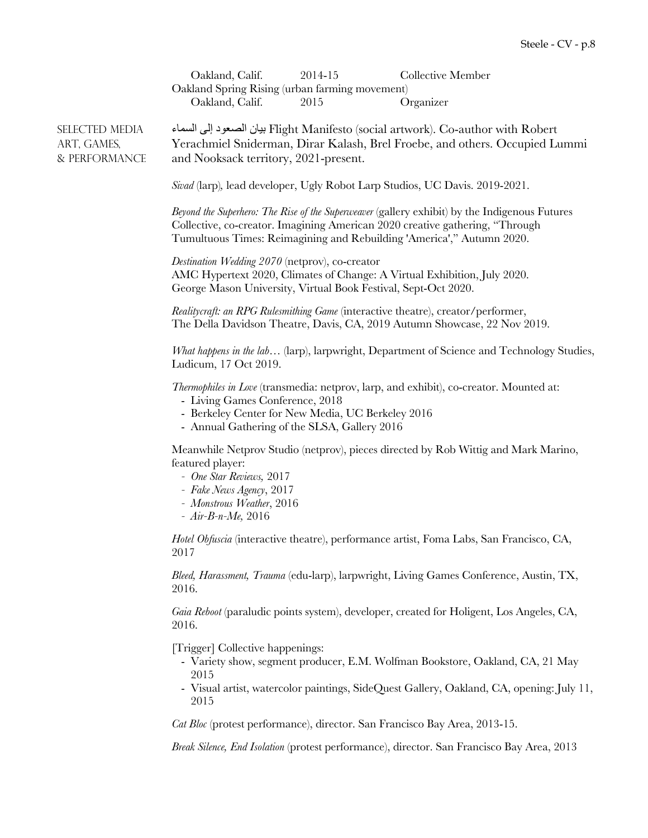|                                                | Oakland, Calif.<br>2014-15<br>Collective Member<br>Oakland Spring Rising (urban farming movement)<br>Organizer<br>Oakland, Calif.<br>2015                                                                                                              |
|------------------------------------------------|--------------------------------------------------------------------------------------------------------------------------------------------------------------------------------------------------------------------------------------------------------|
| SELECTED MEDIA<br>ART, GAMES,<br>& PERFORMANCE | Flight Manifesto (social artwork). Co-author with Robert بيان الصعود إلى السماء<br>Yerachmiel Sniderman, Dirar Kalash, Brel Froebe, and others. Occupied Lummi<br>and Nooksack territory, 2021-present.                                                |
|                                                | Sivad (larp), lead developer, Ugly Robot Larp Studios, UC Davis. 2019-2021.                                                                                                                                                                            |
|                                                | Beyond the Superhero: The Rise of the Superweaver (gallery exhibit) by the Indigenous Futures<br>Collective, co-creator. Imagining American 2020 creative gathering, "Through<br>Tumultuous Times: Reimagining and Rebuilding 'America'," Autumn 2020. |
|                                                | Destination Wedding 2070 (netprov), co-creator<br>AMC Hypertext 2020, Climates of Change: A Virtual Exhibition, July 2020.<br>George Mason University, Virtual Book Festival, Sept-Oct 2020.                                                           |
|                                                | Realitycraft: an RPG Rulesmithing Game (interactive theatre), creator/performer,<br>The Della Davidson Theatre, Davis, CA, 2019 Autumn Showcase, 22 Nov 2019.                                                                                          |
|                                                | What happens in the lab (larp), larpwright, Department of Science and Technology Studies,<br>Ludicum, 17 Oct 2019.                                                                                                                                     |
|                                                | <i>Thermophiles in Love</i> (transmedia: netprov, larp, and exhibit), co-creator. Mounted at:<br>- Living Games Conference, 2018<br>- Berkeley Center for New Media, UC Berkeley 2016<br>- Annual Gathering of the SLSA, Gallery 2016                  |
|                                                | Meanwhile Netprov Studio (netprov), pieces directed by Rob Wittig and Mark Marino,<br>featured player:<br>- One Star Reviews, 2017<br>- Fake News Agency, 2017<br>- Monstrous Weather, 2016<br>- $Air-B-n-Me$ , 2016                                   |
|                                                | Hotel Obfuscia (interactive theatre), performance artist, Foma Labs, San Francisco, CA,<br>2017                                                                                                                                                        |
|                                                | Bleed, Harassment, Trauma (edu-larp), larpwright, Living Games Conference, Austin, TX,<br>2016.                                                                                                                                                        |
|                                                | Gaia Reboot (paraludic points system), developer, created for Holigent, Los Angeles, CA,<br>2016.                                                                                                                                                      |
|                                                | [Trigger] Collective happenings:<br>- Variety show, segment producer, E.M. Wolfman Bookstore, Oakland, CA, 21 May<br>2015<br>- Visual artist, watercolor paintings, SideQuest Gallery, Oakland, CA, opening: July 11,<br>2015                          |
|                                                | Cat Bloc (protest performance), director. San Francisco Bay Area, 2013-15.                                                                                                                                                                             |
|                                                |                                                                                                                                                                                                                                                        |

*Break Silence, End Isolation* (protest performance), director. San Francisco Bay Area, 2013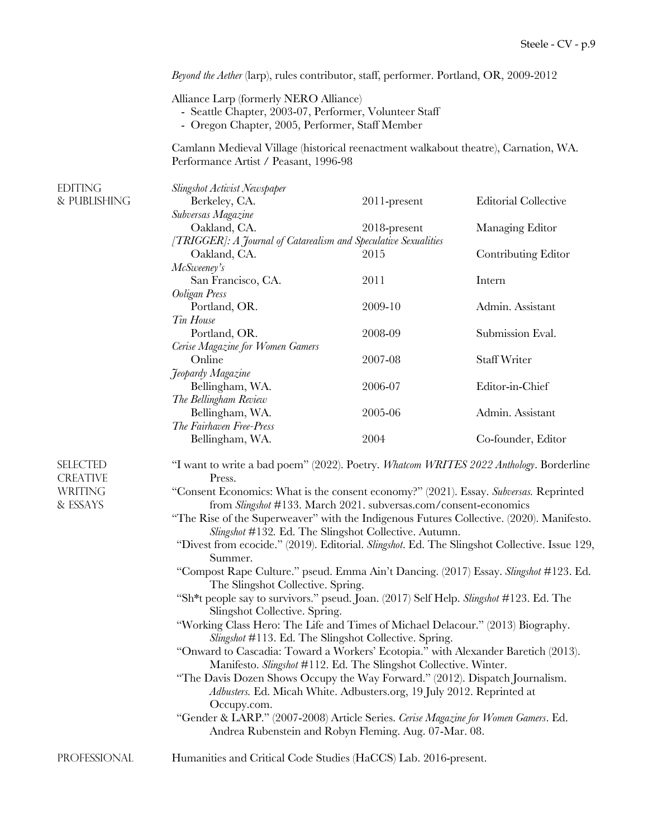|                                    | Beyond the Aether (larp), rules contributor, staff, performer. Portland, OR, 2009-2012                                                                                                                                                                                                                         |                 |                             |  |
|------------------------------------|----------------------------------------------------------------------------------------------------------------------------------------------------------------------------------------------------------------------------------------------------------------------------------------------------------------|-----------------|-----------------------------|--|
|                                    | Alliance Larp (formerly NERO Alliance)<br>- Seattle Chapter, 2003-07, Performer, Volunteer Staff<br>- Oregon Chapter, 2005, Performer, Staff Member<br>Camlann Medieval Village (historical reenactment walkabout theatre), Carnation, WA.<br>Performance Artist / Peasant, 1996-98                            |                 |                             |  |
|                                    |                                                                                                                                                                                                                                                                                                                |                 |                             |  |
| <b>EDITING</b><br>& PUBLISHING     | Slingshot Activist Newspaper<br>Berkeley, CA.                                                                                                                                                                                                                                                                  | $2011$ -present | <b>Editorial Collective</b> |  |
|                                    | Subversas Magazine<br>Oakland, CA.                                                                                                                                                                                                                                                                             | 2018-present    | Managing Editor             |  |
|                                    | [TRIGGER]: A Journal of Catarealism and Speculative Sexualities<br>Oakland, CA.                                                                                                                                                                                                                                | 2015            | Contributing Editor         |  |
|                                    | McSweeney's<br>San Francisco, CA.<br>Ooligan Press                                                                                                                                                                                                                                                             | 2011            | Intern                      |  |
|                                    | Portland, OR.<br>Tin House                                                                                                                                                                                                                                                                                     | 2009-10         | Admin. Assistant            |  |
|                                    | Portland, OR.<br>Cerise Magazine for Women Gamers                                                                                                                                                                                                                                                              | 2008-09         | Submission Eval.            |  |
|                                    | Online<br>Jeopardy Magazine                                                                                                                                                                                                                                                                                    | 2007-08         | <b>Staff Writer</b>         |  |
|                                    | Bellingham, WA.<br>The Bellingham Review                                                                                                                                                                                                                                                                       | 2006-07         | Editor-in-Chief             |  |
|                                    | Bellingham, WA.<br>The Fairhaven Free-Press                                                                                                                                                                                                                                                                    | 2005-06         | Admin. Assistant            |  |
|                                    | Bellingham, WA.                                                                                                                                                                                                                                                                                                | 2004            | Co-founder, Editor          |  |
| <b>SELECTED</b><br><b>CREATIVE</b> | "I want to write a bad poem" (2022). Poetry. Whatcom WRITES 2022 Anthology. Borderline<br>Press.                                                                                                                                                                                                               |                 |                             |  |
| <b>WRITING</b><br>& ESSAYS         | "Consent Economics: What is the consent economy?" (2021). Essay. Subversas. Reprinted<br>from Slingshot #133. March 2021. subversas.com/consent-economics<br>"The Rise of the Superweaver" with the Indigenous Futures Collective. (2020). Manifesto.<br>Slingshot #132. Ed. The Slingshot Collective. Autumn. |                 |                             |  |
|                                    | "Divest from ecocide." (2019). Editorial. Slingshot. Ed. The Slingshot Collective. Issue 129,<br>Summer.                                                                                                                                                                                                       |                 |                             |  |
|                                    | "Compost Rape Culture." pseud. Emma Ain't Dancing. (2017) Essay. Slingshot #123. Ed.<br>The Slingshot Collective. Spring.                                                                                                                                                                                      |                 |                             |  |
|                                    | "Sh*t people say to survivors." pseud. Joan. (2017) Self Help. Slingshot #123. Ed. The<br>Slingshot Collective. Spring.                                                                                                                                                                                        |                 |                             |  |
|                                    | "Working Class Hero: The Life and Times of Michael Delacour." (2013) Biography.<br>Slingshot #113. Ed. The Slingshot Collective. Spring.                                                                                                                                                                       |                 |                             |  |
|                                    | "Onward to Cascadia: Toward a Workers' Ecotopia." with Alexander Baretich (2013).<br>Manifesto. Slingshot #112. Ed. The Slingshot Collective. Winter.                                                                                                                                                          |                 |                             |  |
|                                    | "The Davis Dozen Shows Occupy the Way Forward." (2012). Dispatch Journalism.<br>Adbusters. Ed. Micah White. Adbusters.org, 19 July 2012. Reprinted at                                                                                                                                                          |                 |                             |  |
|                                    | Occupy.com.<br>"Gender & LARP." (2007-2008) Article Series. Cerise Magazine for Women Gamers. Ed.<br>Andrea Rubenstein and Robyn Fleming. Aug. 07-Mar. 08.                                                                                                                                                     |                 |                             |  |
| PROFESSIONAL                       | Humanities and Critical Code Studies (HaCCS) Lab. 2016-present.                                                                                                                                                                                                                                                |                 |                             |  |